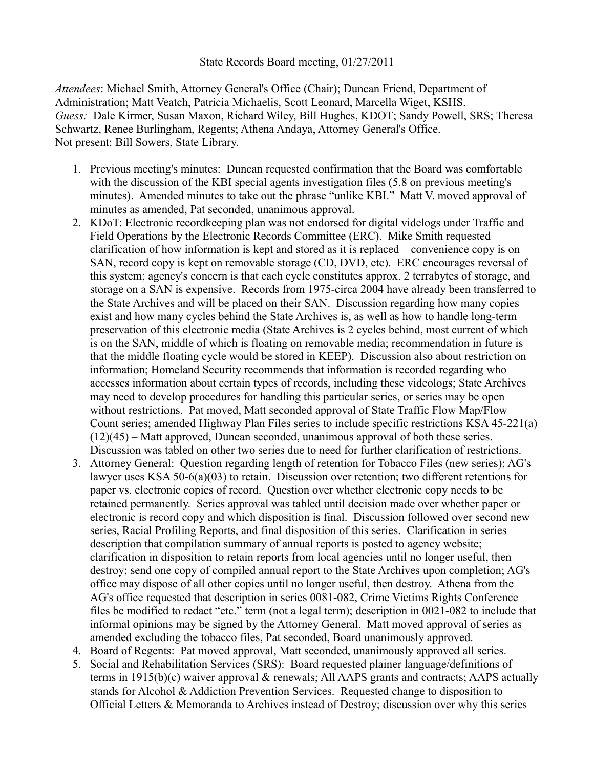## State Records Board meeting, 01/27/2011

*Attendees*: Michael Smith, Attorney General's Office (Chair); Duncan Friend, Department of Administration; Matt Veatch, Patricia Michaelis, Scott Leonard, Marcella Wiget, KSHS. *Guess:* Dale Kirmer, Susan Maxon, Richard Wiley, Bill Hughes, KDOT; Sandy Powell, SRS; Theresa Schwartz, Renee Burlingham, Regents; Athena Andaya, Attorney General's Office. Not present: Bill Sowers, State Library.

- 1. Previous meeting's minutes: Duncan requested confirmation that the Board was comfortable with the discussion of the KBI special agents investigation files (5.8 on previous meeting's minutes). Amended minutes to take out the phrase "unlike KBI." Matt V. moved approval of minutes as amended, Pat seconded, unanimous approval.
- 2. KDoT: Electronic recordkeeping plan was not endorsed for digital videlogs under Traffic and Field Operations by the Electronic Records Committee (ERC). Mike Smith requested clarification of how information is kept and stored as it is replaced – convenience copy is on SAN, record copy is kept on removable storage (CD, DVD, etc). ERC encourages reversal of this system; agency's concern is that each cycle constitutes approx. 2 terrabytes of storage, and storage on a SAN is expensive. Records from 1975-circa 2004 have already been transferred to the State Archives and will be placed on their SAN. Discussion regarding how many copies exist and how many cycles behind the State Archives is, as well as how to handle long-term preservation of this electronic media (State Archives is 2 cycles behind, most current of which is on the SAN, middle of which is floating on removable media; recommendation in future is that the middle floating cycle would be stored in KEEP). Discussion also about restriction on information; Homeland Security recommends that information is recorded regarding who accesses information about certain types of records, including these videologs; State Archives may need to develop procedures for handling this particular series, or series may be open without restrictions. Pat moved, Matt seconded approval of State Traffic Flow Map/Flow Count series; amended Highway Plan Files series to include specific restrictions KSA 45-221(a) (12)(45) – Matt approved, Duncan seconded, unanimous approval of both these series. Discussion was tabled on other two series due to need for further clarification of restrictions.
- 3. Attorney General: Question regarding length of retention for Tobacco Files (new series); AG's lawyer uses KSA 50-6(a)(03) to retain. Discussion over retention; two different retentions for paper vs. electronic copies of record. Question over whether electronic copy needs to be retained permanently. Series approval was tabled until decision made over whether paper or electronic is record copy and which disposition is final. Discussion followed over second new series, Racial Profiling Reports, and final disposition of this series. Clarification in series description that compilation summary of annual reports is posted to agency website; clarification in disposition to retain reports from local agencies until no longer useful, then destroy; send one copy of compiled annual report to the State Archives upon completion; AG's office may dispose of all other copies until no longer useful, then destroy. Athena from the AG's office requested that description in series 0081-082, Crime Victims Rights Conference files be modified to redact "etc." term (not a legal term); description in 0021-082 to include that informal opinions may be signed by the Attorney General. Matt moved approval of series as amended excluding the tobacco files, Pat seconded, Board unanimously approved.
- 4. Board of Regents: Pat moved approval, Matt seconded, unanimously approved all series.
- 5. Social and Rehabilitation Services (SRS): Board requested plainer language/definitions of terms in 1915(b)(c) waiver approval & renewals; All AAPS grants and contracts; AAPS actually stands for Alcohol & Addiction Prevention Services. Requested change to disposition to Official Letters & Memoranda to Archives instead of Destroy; discussion over why this series